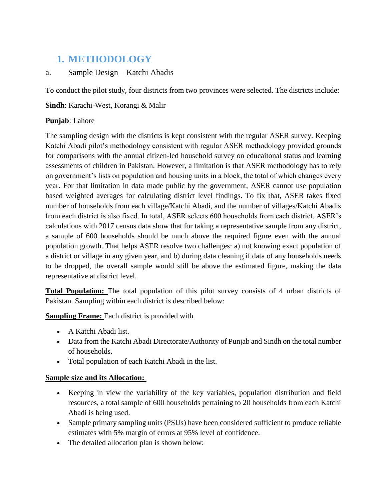# **1. METHODOLOGY**

## a. Sample Design – Katchi Abadis

To conduct the pilot study, four districts from two provinces were selected. The districts include:

**Sindh**: Karachi-West, Korangi & Malir

## **Punjab**: Lahore

The sampling design with the districts is kept consistent with the regular ASER survey. Keeping Katchi Abadi pilot's methodology consistent with regular ASER methodology provided grounds for comparisons with the annual citizen-led household survey on educaitonal status and learning assessments of children in Pakistan. However, a limitation is that ASER methodology has to rely on government's lists on population and housing units in a block, the total of which changes every year. For that limitation in data made public by the government, ASER cannot use population based weighted averages for calculating district level findings. To fix that, ASER takes fixed number of households from each village/Katchi Abadi, and the number of villages/Katchi Abadis from each district is also fixed. In total, ASER selects 600 households from each district. ASER's calculations with 2017 census data show that for taking a representative sample from any district, a sample of 600 households should be much above the required figure even with the annual population growth. That helps ASER resolve two challenges: a) not knowing exact population of a district or village in any given year, and b) during data cleaning if data of any households needs to be dropped, the overall sample would still be above the estimated figure, making the data representative at district level.

**Total Population:** The total population of this pilot survey consists of 4 urban districts of Pakistan. Sampling within each district is described below:

**Sampling Frame:** Each district is provided with

- A Katchi Abadi list.
- Data from the Katchi Abadi Directorate/Authority of Punjab and Sindh on the total number of households.
- Total population of each Katchi Abadi in the list.

## **Sample size and its Allocation:**

- Keeping in view the variability of the key variables, population distribution and field resources, a total sample of 600 households pertaining to 20 households from each Katchi Abadi is being used.
- Sample primary sampling units (PSUs) have been considered sufficient to produce reliable estimates with 5% margin of errors at 95% level of confidence.
- The detailed allocation plan is shown below: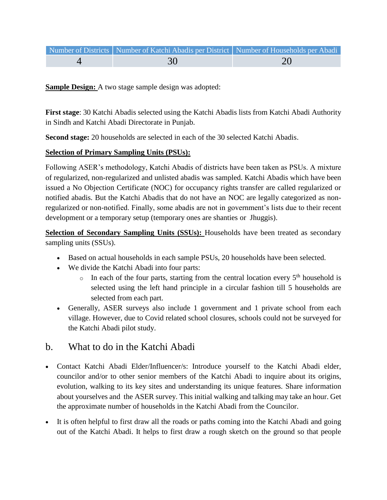| Number of Districts   Number of Katchi Abadis per District   Number of Households per Abadi |    |
|---------------------------------------------------------------------------------------------|----|
| 30                                                                                          | 20 |

**Sample Design:** A two stage sample design was adopted:

**First stage**: 30 Katchi Abadis selected using the Katchi Abadis lists from Katchi Abadi Authority in Sindh and Katchi Abadi Directorate in Punjab.

**Second stage:** 20 households are selected in each of the 30 selected Katchi Abadis.

## **Selection of Primary Sampling Units (PSUs):**

Following ASER's methodology, Katchi Abadis of districts have been taken as PSUs. A mixture of regularized, non-regularized and unlisted abadis was sampled. Katchi Abadis which have been issued a No Objection Certificate (NOC) for occupancy rights transfer are called regularized or notified abadis. But the Katchi Abadis that do not have an NOC are legally categorized as nonregularized or non-notified. Finally, some abadis are not in government's lists due to their recent development or a temporary setup (temporary ones are shanties or Jhuggis).

**Selection of Secondary Sampling Units (SSUs):** Households have been treated as secondary sampling units (SSUs).

- Based on actual households in each sample PSUs, 20 households have been selected.
- We divide the Katchi Abadi into four parts:
	- $\circ$  In each of the four parts, starting from the central location every  $5<sup>th</sup>$  household is selected using the left hand principle in a circular fashion till 5 households are selected from each part.
- Generally, ASER surveys also include 1 government and 1 private school from each village. However, due to Covid related school closures, schools could not be surveyed for the Katchi Abadi pilot study.

# b. What to do in the Katchi Abadi

- Contact Katchi Abadi Elder/Influencer/s: Introduce yourself to the Katchi Abadi elder, councilor and/or to other senior members of the Katchi Abadi to inquire about its origins, evolution, walking to its key sites and understanding its unique features. Share information about yourselves and the ASER survey. This initial walking and talking may take an hour. Get the approximate number of households in the Katchi Abadi from the Councilor.
- It is often helpful to first draw all the roads or paths coming into the Katchi Abadi and going out of the Katchi Abadi. It helps to first draw a rough sketch on the ground so that people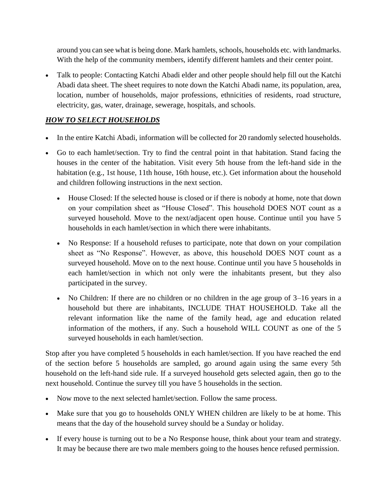around you can see what is being done. Mark hamlets, schools, households etc. with landmarks. With the help of the community members, identify different hamlets and their center point.

 Talk to people: Contacting Katchi Abadi elder and other people should help fill out the Katchi Abadi data sheet. The sheet requires to note down the Katchi Abadi name, its population, area, location, number of households, major professions, ethnicities of residents, road structure, electricity, gas, water, drainage, sewerage, hospitals, and schools.

## *HOW TO SELECT HOUSEHOLDS*

- In the entire Katchi Abadi, information will be collected for 20 randomly selected households.
- Go to each hamlet/section. Try to find the central point in that habitation. Stand facing the houses in the center of the habitation. Visit every 5th house from the left-hand side in the habitation (e.g., 1st house, 11th house, 16th house, etc.). Get information about the household and children following instructions in the next section.
	- House Closed: If the selected house is closed or if there is nobody at home, note that down on your compilation sheet as "House Closed". This household DOES NOT count as a surveyed household. Move to the next/adjacent open house. Continue until you have 5 households in each hamlet/section in which there were inhabitants.
	- No Response: If a household refuses to participate, note that down on your compilation sheet as "No Response". However, as above, this household DOES NOT count as a surveyed household. Move on to the next house. Continue until you have 5 households in each hamlet/section in which not only were the inhabitants present, but they also participated in the survey.
	- No Children: If there are no children or no children in the age group of  $3-16$  years in a household but there are inhabitants, INCLUDE THAT HOUSEHOLD. Take all the relevant information like the name of the family head, age and education related information of the mothers, if any. Such a household WILL COUNT as one of the 5 surveyed households in each hamlet/section.

Stop after you have completed 5 households in each hamlet/section. If you have reached the end of the section before 5 households are sampled, go around again using the same every 5th household on the left-hand side rule. If a surveyed household gets selected again, then go to the next household. Continue the survey till you have 5 households in the section.

- Now move to the next selected hamlet/section. Follow the same process.
- Make sure that you go to households ONLY WHEN children are likely to be at home. This means that the day of the household survey should be a Sunday or holiday.
- If every house is turning out to be a No Response house, think about your team and strategy. It may be because there are two male members going to the houses hence refused permission.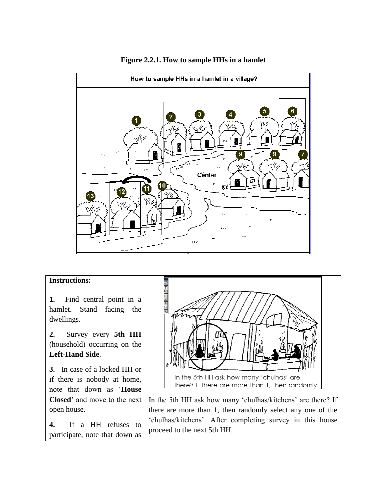

**Figure 2.2.1. How to sample HHs in a hamlet**

#### **Instructions:**

**1.** Find central point in a hamlet. Stand facing the dwellings.

**2.** Survey every **5th HH** (household) occurring on the **Left-Hand Side**.

**3.** In case of a locked HH or if there is nobody at home, note that down as '**House Closed**' and move to the next open house.

**4.** If a HH refuses to participate, note that down as



In the 5th HH ask how many 'chulhas/kitchens' are there? If there are more than 1, then randomly select any one of the 'chulhas/kitchens'. After completing survey in this house proceed to the next 5th HH.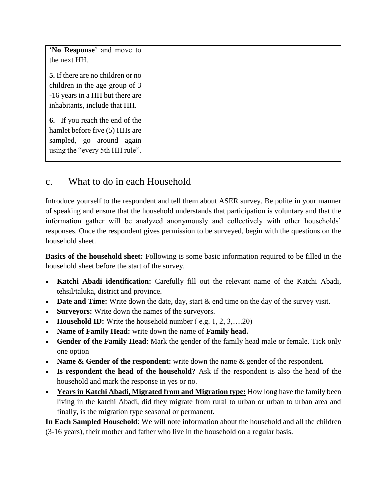| 'No Response' and move to<br>the next HH.                              |
|------------------------------------------------------------------------|
| 5. If there are no children or no                                      |
| children in the age group of 3<br>-16 years in a HH but there are      |
| inhabitants, include that HH.<br><b>6.</b> If you reach the end of the |
| hamlet before five (5) HHs are                                         |
| sampled, go around again<br>using the "every 5th HH rule".             |

# c. What to do in each Household

Introduce yourself to the respondent and tell them about ASER survey. Be polite in your manner of speaking and ensure that the household understands that participation is voluntary and that the information gather will be analyzed anonymously and collectively with other households' responses. Once the respondent gives permission to be surveyed, begin with the questions on the household sheet.

**Basics of the household sheet:** Following is some basic information required to be filled in the household sheet before the start of the survey.

- **Katchi Abadi identification:** Carefully fill out the relevant name of the Katchi Abadi, tehsil/taluka, district and province.
- **Date and Time:** Write down the date, day, start & end time on the day of the survey visit.
- **Surveyors:** Write down the names of the surveyors.
- **Household ID:** Write the household number (e.g. 1, 2, 3, ... . 20)
- **Name of Family Head:** write down the name of **Family head.**
- **Gender of the Family Head**: Mark the gender of the family head male or female. Tick only one option
- **Name & Gender of the respondent:** write down the name & gender of the respondent**.**
- **Is respondent the head of the household?** Ask if the respondent is also the head of the household and mark the response in yes or no.
- **Years in Katchi Abadi, Migrated from and Migration type:** How long have the family been living in the katchi Abadi, did they migrate from rural to urban or urban to urban area and finally, is the migration type seasonal or permanent.

**In Each Sampled Household**: We will note information about the household and all the children (3-16 years), their mother and father who live in the household on a regular basis.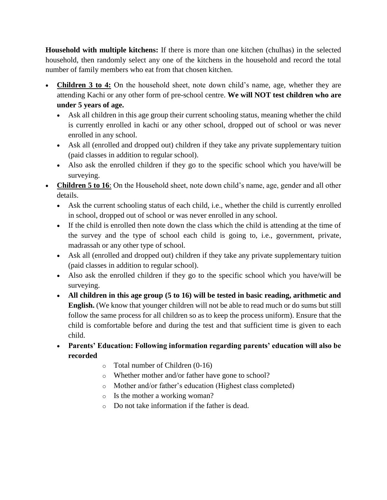**Household with multiple kitchens:** If there is more than one kitchen (chulhas) in the selected household, then randomly select any one of the kitchens in the household and record the total number of family members who eat from that chosen kitchen.

- **Children 3 to 4:** On the household sheet, note down child's name, age, whether they are attending Kachi or any other form of pre-school centre. **We will NOT test children who are under 5 years of age.**
	- Ask all children in this age group their current schooling status, meaning whether the child is currently enrolled in kachi or any other school, dropped out of school or was never enrolled in any school.
	- Ask all (enrolled and dropped out) children if they take any private supplementary tuition (paid classes in addition to regular school).
	- Also ask the enrolled children if they go to the specific school which you have/will be surveying.
- **Children 5 to 16**: On the Household sheet, note down child's name, age, gender and all other details.
	- Ask the current schooling status of each child, i.e., whether the child is currently enrolled in school, dropped out of school or was never enrolled in any school.
	- If the child is enrolled then note down the class which the child is attending at the time of the survey and the type of school each child is going to, i.e., government, private, madrassah or any other type of school.
	- Ask all (enrolled and dropped out) children if they take any private supplementary tuition (paid classes in addition to regular school).
	- Also ask the enrolled children if they go to the specific school which you have/will be surveying.
	- **All children in this age group (5 to 16) will be tested in basic reading, arithmetic and English.** (We know that younger children will not be able to read much or do sums but still follow the same process for all children so as to keep the process uniform). Ensure that the child is comfortable before and during the test and that sufficient time is given to each child.
	- **Parents' Education: Following information regarding parents' education will also be recorded**
		- o Total number of Children (0-16)
		- o Whether mother and/or father have gone to school?
		- o Mother and/or father's education (Highest class completed)
		- o Is the mother a working woman?
		- o Do not take information if the father is dead.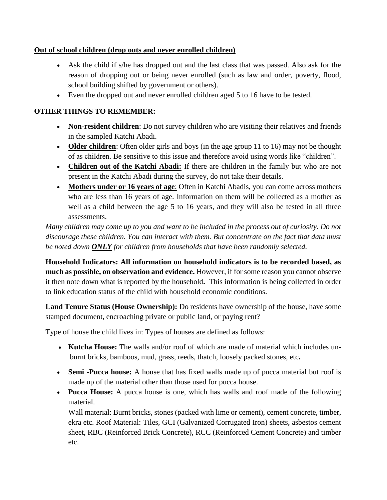## **Out of school children (drop outs and never enrolled children)**

- Ask the child if s/he has dropped out and the last class that was passed. Also ask for the reason of dropping out or being never enrolled (such as law and order, poverty, flood, school building shifted by government or others).
- Even the dropped out and never enrolled children aged 5 to 16 have to be tested.

## **OTHER THINGS TO REMEMBER:**

- **Non-resident children**: Do not survey children who are visiting their relatives and friends in the sampled Katchi Abadi.
- **Older children**: Often older girls and boys (in the age group 11 to 16) may not be thought of as children. Be sensitive to this issue and therefore avoid using words like "children".
- **Children out of the Katchi Abadi:** If there are children in the family but who are not present in the Katchi Abadi during the survey, do not take their details.
- **Mothers under or 16 years of age**: Often in Katchi Abadis, you can come across mothers who are less than 16 years of age. Information on them will be collected as a mother as well as a child between the age 5 to 16 years, and they will also be tested in all three assessments.

*Many children may come up to you and want to be included in the process out of curiosity. Do not discourage these children. You can interact with them. But concentrate on the fact that data must be noted down ONLY for children from households that have been randomly selected.*

**Household Indicators: All information on household indicators is to be recorded based, as much as possible, on observation and evidence.** However, if for some reason you cannot observe it then note down what is reported by the household**.** This information is being collected in order to link education status of the child with household economic conditions.

**Land Tenure Status (House Ownership):** Do residents have ownership of the house, have some stamped document, encroaching private or public land, or paying rent?

Type of house the child lives in: Types of houses are defined as follows:

- **Kutcha House:** The walls and/or roof of which are made of material which includes unburnt bricks, bamboos, mud, grass, reeds, thatch, loosely packed stones, etc**.**
- **Semi -Pucca house:** A house that has fixed walls made up of pucca material but roof is made up of the material other than those used for pucca house.
- **Pucca House:** A pucca house is one, which has walls and roof made of the following material.

Wall material: Burnt bricks, stones (packed with lime or cement), cement concrete, timber, ekra etc. Roof Material: Tiles, GCI (Galvanized Corrugated Iron) sheets, asbestos cement sheet, RBC (Reinforced Brick Concrete), RCC (Reinforced Cement Concrete) and timber etc.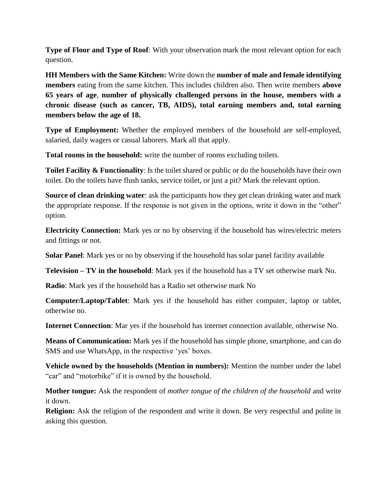**Type of Floor and Type of Roof**: With your observation mark the most relevant option for each question.

**HH Members with the Same Kitchen:** Write down the **number of male and female identifying members** eating from the same kitchen. This includes children also. Then write members **above 65 years of age**, **number of physically challenged persons in the house, members with a chronic disease (such as cancer, TB, AIDS), total earning members and, total earning members below the age of 18.** 

**Type of Employment:** Whether the employed members of the household are self-employed, salaried, daily wagers or casual laborers. Mark all that apply.

**Total rooms in the household:** write the number of rooms excluding toilets.

**Toilet Facility & Functionality**: Is the toilet shared or public or do the households have their own toilet. Do the toilets have flush tanks, service toilet, or just a pit? Mark the relevant option.

**Source of clean drinking water**: ask the participants how they get clean drinking water and mark the appropriate response. If the response is not given in the options, write it down in the "other" option.

**Electricity Connection:** Mark yes or no by observing if the household has wires/electric meters and fittings or not.

**Solar Panel**: Mark yes or no by observing if the household has solar panel facility available

**Television – TV in the household**: Mark yes if the household has a TV set otherwise mark No.

**Radio**: Mark yes if the household has a Radio set otherwise mark No

**Computer/Laptop/Tablet**: Mark yes if the household has either computer, laptop or tablet, otherwise no.

**Internet Connection**: Mar yes if the household has internet connection available, otherwise No.

**Means of Communication:** Mark yes if the household has simple phone, smartphone, and can do SMS and use WhatsApp, in the respective 'yes' boxes.

**Vehicle owned by the households (Mention in numbers):** Mention the number under the label "car" and "motorbike" if it is owned by the household.

**Mother tongue:** Ask the respondent of *mother tongue of the children of the household* and write it down.

**Religion:** Ask the religion of the respondent and write it down. Be very respectful and polite in asking this question.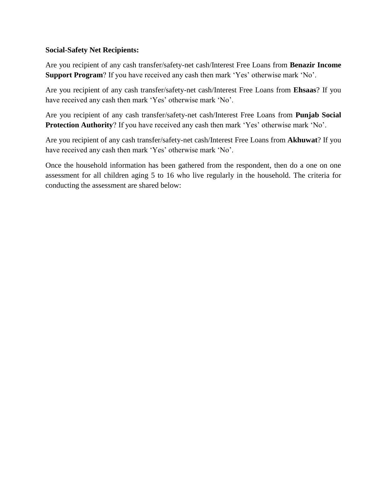#### **Social-Safety Net Recipients:**

Are you recipient of any cash transfer/safety-net cash/Interest Free Loans from **Benazir Income Support Program**? If you have received any cash then mark 'Yes' otherwise mark 'No'.

Are you recipient of any cash transfer/safety-net cash/Interest Free Loans from **Ehsaas**? If you have received any cash then mark 'Yes' otherwise mark 'No'.

Are you recipient of any cash transfer/safety-net cash/Interest Free Loans from **Punjab Social Protection Authority**? If you have received any cash then mark 'Yes' otherwise mark 'No'.

Are you recipient of any cash transfer/safety-net cash/Interest Free Loans from **Akhuwat**? If you have received any cash then mark 'Yes' otherwise mark 'No'.

Once the household information has been gathered from the respondent, then do a one on one assessment for all children aging 5 to 16 who live regularly in the household. The criteria for conducting the assessment are shared below: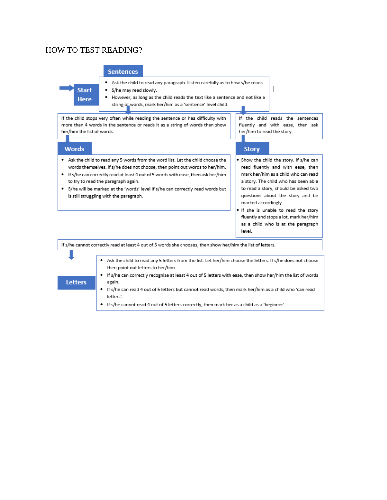## **HOW TO TEST READING?**

**Start** 

**Here** 

#### **Sentences**

- . Ask the child to read any paragraph. Listen carefully as to how s/he reads.
- · S/he may read slowly.
- . However, as long as the child reads the text like a sentence and not like a string of words, mark her/him as a 'sentence' level child.

If the child stops very often while reading the sentence or has difficulty with more than 4 words in the sentence or reads it as a string of words than show her/him the list of words.

#### **Words**

**Letters** 

- . Ask the child to read any 5 words from the word list. Let the child choose the words themselves. If s/he does not choose, then point out words to her/him.
- . If s/he can correctly read at least 4 out of 5 words with ease, then ask her/him to try to read the paragraph again.
- . S/he will be marked at the 'words' level if s/he can correctly read words but is still struggling with the paragraph.

#### If the child reads the sentences fluently and with ease, then ask her/him to read the story.

#### **Story**

- . Show the child the story. If s/he can read fluently and with ease, then mark her/him as a child who can read a story. The child who has been able to read a story, should be asked two questions about the story and be marked accordingly.
- If she is unable to read the story fluently and stops a lot, mark her/him as a child who is at the paragraph level.

If s/he cannot correctly read at least 4 out of 5 words she chooses, then show her/him the list of letters.

- . Ask the child to read any 5 letters from the list. Let her/him choose the letters. If s/he does not choose then point out letters to her/him.
	- . If s/he can correctly recognize at least 4 out of 5 letters with ease, then show her/him the list of words again.
	- ٠ If s/he can read 4 out of 5 letters but cannot read words, then mark her/him as a child who 'can read letters'.
	- . If s/he cannot read 4 out of 5 letters correctly, then mark her as a child as a 'beginner'.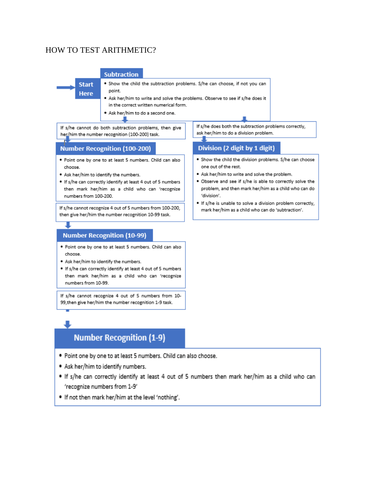## **HOW TO TEST ARITHMETIC?**

#### **Subtraction**

- **Start Here**
- . Show the child the subtraction problems. S/he can choose, if not you can point.
- . Ask her/him to write and solve the problems. Observe to see if s/he does it in the correct written numerical form.
- . Ask her/him to do a second one.

If s/he cannot do both subtraction problems, then give her/him the number recognition (100-200) task.

#### **Number Recognition (100-200)**

- . Point one by one to at least 5 numbers. Child can also choose.
- . Ask her/him to identify the numbers.
- . If s/he can correctly identify at least 4 out of 5 numbers then mark her/him as a child who can 'recognize numbers from 100-200.

If s/he cannot recognize 4 out of 5 numbers from 100-200, then give her/him the number recognition 10-99 task.

## **Number Recognition (10-99)**

- . Point one by one to at least 5 numbers. Child can also choose.
- . Ask her/him to identify the numbers.
- . If s/he can correctly identify at least 4 out of 5 numbers then mark her/him as a child who can 'recognize numbers from 10-99.

If s/he cannot recognize 4 out of 5 numbers from 10-99, then give her/him the number recognition 1-9 task.

# **Number Recognition (1-9)**

- \* Point one by one to at least 5 numbers. Child can also choose.
- . Ask her/him to identify numbers.
- . If s/he can correctly identify at least 4 out of 5 numbers then mark her/him as a child who can 'recognize numbers from 1-9'
- . If not then mark her/him at the level 'nothing'.

If s/he does both the subtraction problems correctly, ask her/him to do a division problem.

#### Division (2 digit by 1 digit)

- . Show the child the division problems. S/he can choose one out of the rest.
- . Ask her/him to write and solve the problem.
- . Observe and see if s/he is able to correctly solve the problem, and then mark her/him as a child who can do 'division'.
- . If s/he is unable to solve a division problem correctly, mark her/him as a child who can do 'subtraction'.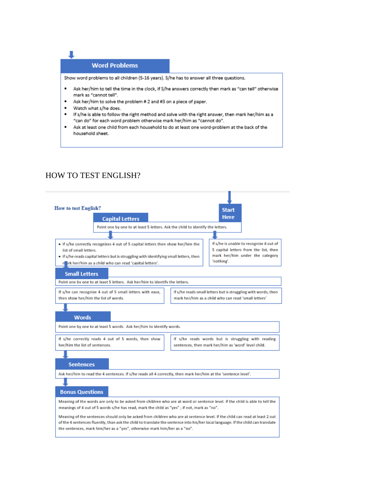

Show word problems to all children (5-16 years). S/he has to answer all three questions.

- ٠ Ask her/him to tell the time in the clock, if S/he answers correctly then mark as "can tell" otherwise mark as "cannot tell".
- Ask her/him to solve the problem # 2 and #3 on a piece of paper.
- Watch what s/he does.

ı

- If s/he is able to follow the right method and solve with the right answer, then mark her/him as a ٠ "can do" for each word problem otherwise mark her/him as "cannot do".
- Ask at least one child from each household to do at least one word-problem at the back of the ٠ household sheet.

## **HOW TO TEST ENGLISH?**

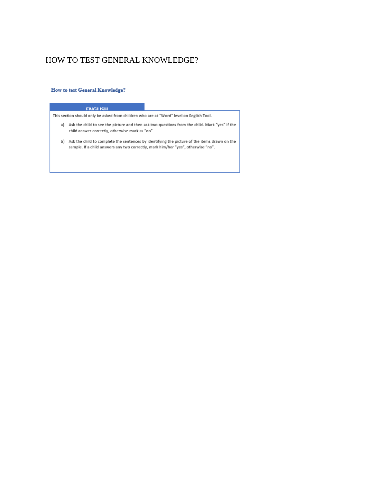## HOW TO TEST GENERAL KNOWLEDGE?

#### **How to test General Knowledge?**

#### **FNGLISH**

This section should only be asked from children who are at "Word" level on English Tool.

- a) Ask the child to see the picture and then ask two questions from the child. Mark "yes" if the child answer correctly, otherwise mark as "no".
- b) Ask the child to complete the sentences by identifying the picture of the items drawn on the sample. If a child answers any two correctly, mark him/her "yes", otherwise "no".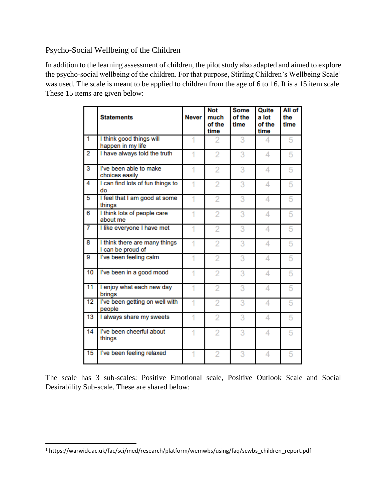Psycho-Social Wellbeing of the Children

In addition to the learning assessment of children, the pilot study also adapted and aimed to explore the psycho-social wellbeing of the children. For that purpose, Stirling Children's Wellbeing Scale<sup>1</sup> was used. The scale is meant to be applied to children from the age of 6 to 16. It is a 15 item scale. These 15 items are given below:

|                | <b>Statements</b>                                  | <b>Never</b> | <b>Not</b><br>much<br>of the<br>time | <b>Some</b><br>of the<br>time | Quite<br>a lot<br>of the<br>time | All of<br>the<br>time |
|----------------|----------------------------------------------------|--------------|--------------------------------------|-------------------------------|----------------------------------|-----------------------|
| 1              | I think good things will<br>happen in my life      |              | 2                                    | 3                             | 4                                | 5                     |
| $\overline{2}$ | I have always told the truth                       |              | $\overline{2}$                       | 3                             | 4                                | 5                     |
| 3              | I've been able to make<br>choices easily           | 1            | $\overline{2}$                       | 3                             | 4                                | 5                     |
| 4              | I can find lots of fun things to<br>do             | 1            | $\overline{2}$                       | 3                             | 4                                | 5                     |
| 5              | I feel that I am good at some<br>things            | 1            | $\overline{2}$                       | 3                             | 4                                | 5                     |
| 6              | I think lots of people care<br>about me            | 1            | $\overline{2}$                       | 3                             | 4                                | 5                     |
| 7              | I like everyone I have met                         | 1            | 2                                    | 3                             | 4                                | 5                     |
| 8              | I think there are many things<br>I can be proud of | 1            | $\overline{2}$                       | 3                             | 4                                | 5                     |
| 9              | I've been feeling calm                             | 1            | 2                                    | 3                             | 4                                | 5                     |
| 10             | I've been in a good mood                           | 1            | 2                                    | 3                             | 4                                | 5                     |
| 11             | I enjoy what each new day<br>brings                | 1            | $\overline{2}$                       | 3                             | 4                                | 5                     |
| 12             | I've been getting on well with<br>people           | 1            | $\overline{2}$                       | 3                             | 4                                | 5                     |
| 13             | I always share my sweets                           | 1            | $\overline{2}$                       | 3                             | 4                                | 5                     |
| 14             | I've been cheerful about<br>things                 | 1            | $\overline{2}$                       | 3                             | 4                                | 5                     |
| 15             | I've been feeling relaxed                          | 1            | $\overline{2}$                       | 3                             | 4                                | 5                     |

The scale has 3 sub-scales: Positive Emotional scale, Positive Outlook Scale and Social Desirability Sub-scale. These are shared below:

 $\overline{\phantom{a}}$ 

<sup>1</sup> https://warwick.ac.uk/fac/sci/med/research/platform/wemwbs/using/faq/scwbs\_children\_report.pdf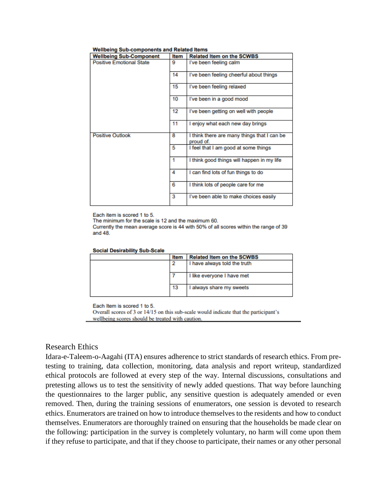| <b>Wellbeing Sub-Component</b>  | Item | <b>Related Item on the SCWBS</b>                         |
|---------------------------------|------|----------------------------------------------------------|
| <b>Positive Emotional State</b> | g    | I've been feeling calm                                   |
|                                 | 14   | I've been feeling cheerful about things                  |
|                                 | 15   | I've been feeling relaxed                                |
|                                 | 10   | I've been in a good mood                                 |
|                                 | 12   | I've been getting on well with people                    |
|                                 | 11   | I enjoy what each new day brings                         |
| <b>Positive Outlook</b>         | 8    | I think there are many things that I can be<br>proud of. |
|                                 | 5    | I feel that I am good at some things                     |
|                                 | 1    | I think good things will happen in my life               |
|                                 | 4    | I can find lots of fun things to do                      |
|                                 | 6    | I think lots of people care for me                       |
|                                 | 3    | I've been able to make choices easily                    |

#### Wellbeing Sub-components and Related Items

Each item is scored 1 to 5.

The minimum for the scale is 12 and the maximum 60.

Currently the mean average score is 44 with 50% of all scores within the range of 39 and 48.

#### **Social Desirability Sub-Scale**

| Item | <b>Related Item on the SCWBS</b> |
|------|----------------------------------|
| 2    | I have always told the truth     |
|      |                                  |
|      | I like everyone I have met       |
|      |                                  |
| 13   | I always share my sweets         |
|      |                                  |

Each Item is scored 1 to 5.

Overall scores of 3 or 14/15 on this sub-scale would indicate that the participant's wellbeing scores should be treated with caution.

#### **Research Ethics**

Idara-e-Taleem-o-Aagahi (ITA) ensures adherence to strict standards of research ethics. From pretesting to training, data collection, monitoring, data analysis and report writeup, standardized ethical protocols are followed at every step of the way. Internal discussions, consultations and pretesting allows us to test the sensitivity of newly added questions. That way before launching the questionnaires to the larger public, any sensitive question is adequately amended or even removed. Then, during the training sessions of enumerators, one session is devoted to research ethics. Enumerators are trained on how to introduce themselves to the residents and how to conduct themselves. Enumerators are thoroughly trained on ensuring that the households be made clear on the following: participation in the survey is completely voluntary, no harm will come upon them if they refuse to participate, and that if they choose to participate, their names or any other personal